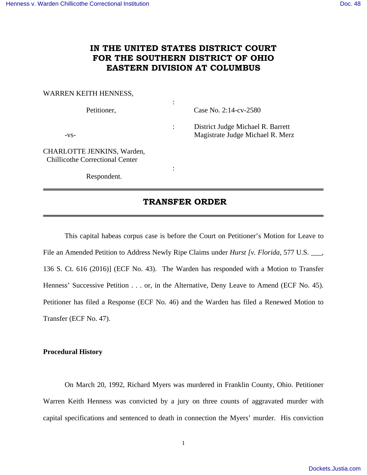## **IN THE UNITED STATES DISTRICT COURT FOR THE SOUTHERN DISTRICT OF OHIO EASTERN DIVISION AT COLUMBUS**

#### WARREN KEITH HENNESS,

| Petitioner,                                                          | ٠<br>$\bullet$ | Case No. $2:14$ -cv- $2580$                                           |
|----------------------------------------------------------------------|----------------|-----------------------------------------------------------------------|
| $-VS-$                                                               | $\ddot{\cdot}$ | District Judge Michael R. Barrett<br>Magistrate Judge Michael R. Merz |
| CHARLOTTE JENKINS, Warden,<br><b>Chillicothe Correctional Center</b> |                |                                                                       |
| Respondent.                                                          | ٠              |                                                                       |

### **TRANSFER ORDER**

 This capital habeas corpus case is before the Court on Petitioner's Motion for Leave to File an Amended Petition to Address Newly Ripe Claims under *Hurst [v. Florida,* 577 U.S. \_\_\_, 136 S. Ct. 616 (2016)] (ECF No. 43). The Warden has responded with a Motion to Transfer Henness' Successive Petition . . . or, in the Alternative, Deny Leave to Amend (ECF No. 45). Petitioner has filed a Response (ECF No. 46) and the Warden has filed a Renewed Motion to Transfer (ECF No. 47).

#### **Procedural History**

 On March 20, 1992, Richard Myers was murdered in Franklin County, Ohio. Petitioner Warren Keith Henness was convicted by a jury on three counts of aggravated murder with capital specifications and sentenced to death in connection the Myers' murder. His conviction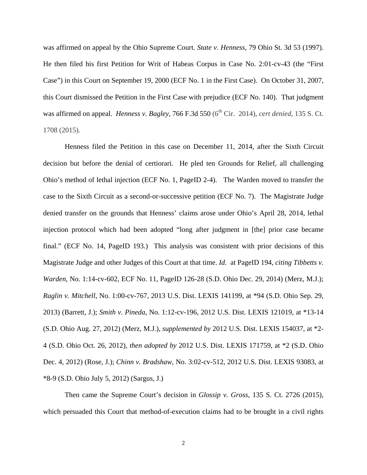was affirmed on appeal by the Ohio Supreme Court. *State v. Henness*, 79 Ohio St. 3d 53 (1997). He then filed his first Petition for Writ of Habeas Corpus in Case No. 2:01-cv-43 (the "First Case") in this Court on September 19, 2000 (ECF No. 1 in the First Case). On October 31, 2007, this Court dismissed the Petition in the First Case with prejudice (ECF No. 140). That judgment was affirmed on appeal. *Henness v. Bagley*, 766 F.3d 550 (6<sup>th</sup> Cir. 2014), *cert denied*, 135 S. Ct. 1708 (2015).

 Henness filed the Petition in this case on December 11, 2014, after the Sixth Circuit decision but before the denial of certiorari. He pled ten Grounds for Relief, all challenging Ohio's method of lethal injection (ECF No. 1, PageID 2-4). The Warden moved to transfer the case to the Sixth Circuit as a second-or-successive petition (ECF No. 7). The Magistrate Judge denied transfer on the grounds that Henness' claims arose under Ohio's April 28, 2014, lethal injection protocol which had been adopted "long after judgment in [the] prior case became final." (ECF No. 14, PageID 193.) This analysis was consistent with prior decisions of this Magistrate Judge and other Judges of this Court at that time. *Id.* at PageID 194, *citing Tibbetts v. Warden*, No. 1:14-cv-602, ECF No. 11, PageID 126-28 (S.D. Ohio Dec. 29, 2014) (Merz, M.J.); *Raglin v. Mitchell*, No. 1:00-cv-767, 2013 U.S. Dist. LEXIS 141199, at \*94 (S.D. Ohio Sep. 29, 2013) (Barrett, J.); *Smith v. Pineda*, No. 1:12-cv-196, 2012 U.S. Dist. LEXIS 121019, at \*13-14 (S.D. Ohio Aug. 27, 2012) (Merz, M.J.), *supplemented by* 2012 U.S. Dist. LEXIS 154037, at \*2- 4 (S.D. Ohio Oct. 26, 2012), *then adopted by* 2012 U.S. Dist. LEXIS 171759, at \*2 (S.D. Ohio Dec. 4, 2012) (Rose, J.); *Chinn v. Bradshaw*, No. 3:02-cv-512, 2012 U.S. Dist. LEXIS 93083, at \*8-9 (S.D. Ohio July 5, 2012) (Sargus, J.)

 Then came the Supreme Court's decision in *Glossip v. Gross*, 135 S. Ct. 2726 (2015), which persuaded this Court that method-of-execution claims had to be brought in a civil rights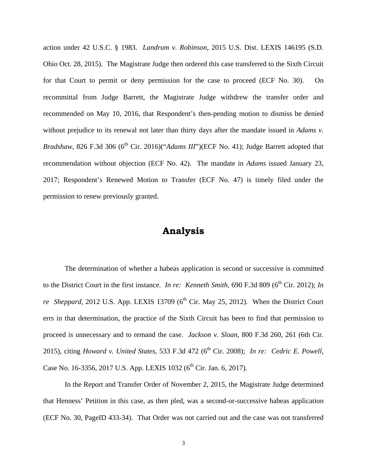action under 42 U.S.C. § 1983. *Landrum v. Robinson*, 2015 U.S. Dist. LEXIS 146195 (S.D. Ohio Oct. 28, 2015). The Magistrate Judge then ordered this case transferred to the Sixth Circuit for that Court to permit or deny permission for the case to proceed (ECF No. 30). On recommittal from Judge Barrett, the Magistrate Judge withdrew the transfer order and recommended on May 10, 2016, that Respondent's then-pending motion to dismiss be denied without prejudice to its renewal not later than thirty days after the mandate issued in *Adams v*. *Bradshaw*, 826 F.3d 306 (6<sup>th</sup> Cir. 2016)("*Adams III*")(ECF No. 41); Judge Barrett adopted that recommendation without objection (ECF No. 42). The mandate in *Adams* issued January 23, 2017; Respondent's Renewed Motion to Transfer (ECF No. 47) is timely filed under the permission to renew previously granted.

# **Analysis**

 The determination of whether a habeas application is second or successive is committed to the District Court in the first instance. *In re: Kenneth Smith*, 690 F.3d 809 (6<sup>th</sup> Cir. 2012); *In re Sheppard*, 2012 U.S. App. LEXIS 13709 ( $6<sup>th</sup>$  Cir. May 25, 2012). When the District Court errs in that determination, the practice of the Sixth Circuit has been to find that permission to proceed is unnecessary and to remand the case. *Jackson v. Sloan*, 800 F.3d 260, 261 (6th Cir. 2015), citing *Howard v. United States*, 533 F.3d 472 (6<sup>th</sup> Cir. 2008); *In re: Cedric E. Powell*, Case No. 16-3356, 2017 U.S. App. LEXIS 1032 ( $6^{th}$  Cir. Jan. 6, 2017).

 In the Report and Transfer Order of November 2, 2015, the Magistrate Judge determined that Henness' Petition in this case, as then pled, was a second-or-successive habeas application (ECF No. 30, PageID 433-34). That Order was not carried out and the case was not transferred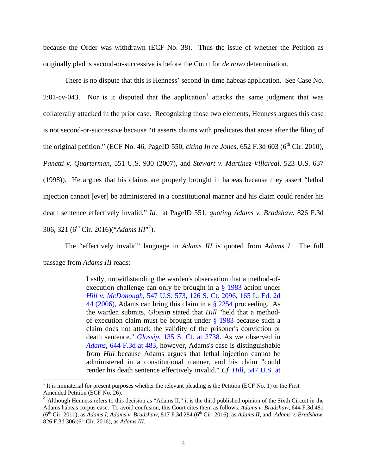because the Order was withdrawn (ECF No. 38). Thus the issue of whether the Petition as originally pled is second-or-successive is before the Court for *de novo* determination.

 There is no dispute that this is Henness' second-in-time habeas application. See Case No. 2:01-cv-043. Nor is it disputed that the application<sup>1</sup> attacks the same judgment that was collaterally attacked in the prior case. Recognizing those two elements, Henness argues this case is not second-or-successive because "it asserts claims with predicates that arose after the filing of the original petition." (ECF No. 46, PageID 550, *citing In re Jones*, 652 F.3d 603 ( $6<sup>th</sup>$  Cir. 2010), *Panetti v. Quarterman*, 551 U.S. 930 (2007), and *Stewart v. Martinez-Villareal*, 523 U.S. 637 (1998)). He argues that his claims are properly brought in habeas because they assert "lethal injection cannot [ever] be administered in a constitutional manner and his claim could render his death sentence effectively invalid." *Id.* at PageID 551, *quoting Adams v. Bradshaw*, 826 F.3d 306, 321 (6<sup>th</sup> Cir. 2016)("*Adams III*"<sup>2</sup>).

The "effectively invalid" language in *Adams III* is quoted from *Adams I*. The full passage from *Adams III* reads:

> Lastly, notwithstanding the warden's observation that a method-ofexecution challenge can only be brought in a § 1983 action under *Hill v. McDonough*, 547 U.S. 573, 126 S. Ct. 2096, 165 L. Ed. 2d 44 (2006), Adams can bring this claim in a § 2254 proceeding. As the warden submits, *Glossip* stated that *Hill* "held that a methodof-execution claim must be brought under § 1983 because such a claim does not attack the validity of the prisoner's conviction or death sentence." *Glossip*, 135 S. Ct. at 2738. As we observed in *Adams*, 644 F.3d at 483, however, Adams's case is distinguishable from *Hill* because Adams argues that lethal injection cannot be administered in a constitutional manner, and his claim "could render his death sentence effectively invalid." *Cf. Hill*, 547 U.S. at

 $\overline{a}$ 

<sup>1</sup> It is immaterial for present purposes whether the relevant pleading is the Petition (ECF No. 1) or the First Amended Petition (ECF No. 26).

<sup>&</sup>lt;sup>2</sup> Although Henness refers to this decision as "Adams II," it is the third published opinion of the Sixth Circuit in the Adams habeas corpus case. To avoid confusion, this Court cites them as follows: *Adams v. Bradshaw*, 644 F.3d 481 (6th Cir. 2011), as *Adams I*; *Adams v. Bradshaw*, 817 F.3d 284 (6th Cir. 2016), as *Adams II*, and *Adams v. Bradshaw*, 826 F.3d 306 (6<sup>th</sup> Cir. 2016), as *Adams III*.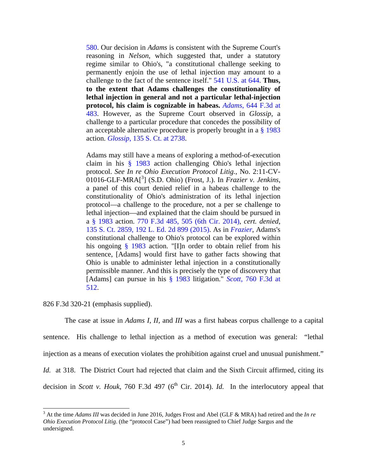580. Our decision in *Adams* is consistent with the Supreme Court's reasoning in *Nelson*, which suggested that, under a statutory regime similar to Ohio's, "a constitutional challenge seeking to permanently enjoin the use of lethal injection may amount to a challenge to the fact of the sentence itself." 541 U.S. at 644. **Thus, to the extent that Adams challenges the constitutionality of lethal injection in general and not a particular lethal-injection protocol, his claim is cognizable in habeas.** *Adams*, 644 F.3d at 483. However, as the Supreme Court observed in *Glossip*, a challenge to a particular procedure that concedes the possibility of an acceptable alternative procedure is properly brought in a  $\S$  1983 action. *Glossip*, 135 S. Ct. at 2738.

Adams may still have a means of exploring a method-of-execution claim in his § 1983 action challenging Ohio's lethal injection protocol. *See In re Ohio Execution Protocol Litig.*, No. 2:11-CV-01016-GLF-MRA[<sup>3</sup> ] (S.D. Ohio) (Frost, J.). In *Frazier v. Jenkins*, a panel of this court denied relief in a habeas challenge to the constitutionality of Ohio's administration of its lethal injection protocol—a challenge to the procedure, not a per se challenge to lethal injection—and explained that the claim should be pursued in a § 1983 action. 770 F.3d 485, 505 (6th Cir. 2014), *cert. denied*, 135 S. Ct. 2859, 192 L. Ed. 2d 899 (2015). As in *Frazier*, Adams's constitutional challenge to Ohio's protocol can be explored within his ongoing § 1983 action. "[I]n order to obtain relief from his sentence, [Adams] would first have to gather facts showing that Ohio is unable to administer lethal injection in a constitutionally permissible manner. And this is precisely the type of discovery that [Adams] can pursue in his § 1983 litigation." *Scott*, 760 F.3d at 512.

#### 826 F.3d 320-21 (emphasis supplied).

-

 The case at issue in *Adams I, II,* and *III* was a first habeas corpus challenge to a capital sentence. His challenge to lethal injection as a method of execution was general: "lethal injection as a means of execution violates the prohibition against cruel and unusual punishment." *Id.* at 318. The District Court had rejected that claim and the Sixth Circuit affirmed, citing its decision in *Scott v. Houk*, 760 F.3d 497 ( $6<sup>th</sup>$  Cir. 2014). *Id.* In the interlocutory appeal that

<sup>3</sup> At the time *Adams III* was decided in June 2016, Judges Frost and Abel (GLF & MRA) had retired and the *In re Ohio Execution Protocol Litig*. (the "protocol Case") had been reassigned to Chief Judge Sargus and the undersigned.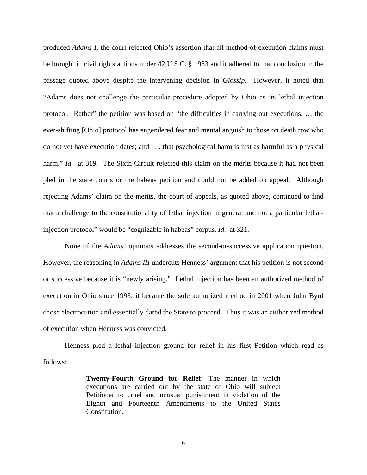produced *Adams I*, the court rejected Ohio's assertion that all method-of-execution claims must be brought in civil rights actions under 42 U.S.C. § 1983 and it adhered to that conclusion in the passage quoted above despite the intervening decision in *Glossip*. However, it noted that "Adams does not challenge the particular procedure adopted by Ohio as its lethal injection protocol. Rather" the petition was based on "the difficulties in carrying out executions, … the ever-shifting [Ohio] protocol has engendered fear and mental anguish to those on death row who do not yet have execution dates; and . . . that psychological harm is just as harmful as a physical harm." *Id.* at 319. The Sixth Circuit rejected this claim on the merits because it had not been pled in the state courts or the habeas petition and could not be added on appeal. Although rejecting Adams' claim on the merits, the court of appeals, as quoted above, continued to find that a challenge to the constitutionality of lethal injection in general and not a particular lethalinjection protocol" would be "cognizable in habeas" corpus. *Id.* at 321.

 None of the *Adams'* opinions addresses the second-or-successive application question. However, the reasoning in *Adams III* undercuts Henness' argument that his petition is not second or successive because it is "newly arising." Lethal injection has been an authorized method of execution in Ohio since 1993; it became the sole authorized method in 2001 when John Byrd chose electrocution and essentially dared the State to proceed. Thus it was an authorized method of execution when Henness was convicted.

 Henness pled a lethal injection ground for relief in his first Petition which read as follows:

> **Twenty-Fourth Ground for Relief:** The manner in which executions are carried out by the state of Ohio will subject Petitioner to cruel and unusual punishment in violation of the Eighth and Fourteenth Amendments to the United States Constitution.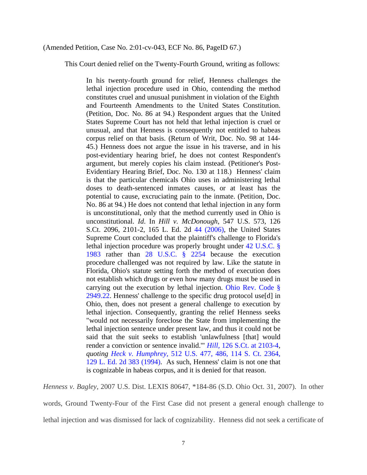#### (Amended Petition, Case No. 2:01-cv-043, ECF No. 86, PageID 67.)

This Court denied relief on the Twenty-Fourth Ground, writing as follows:

In his twenty-fourth ground for relief, Henness challenges the lethal injection procedure used in Ohio, contending the method constitutes cruel and unusual punishment in violation of the Eighth and Fourteenth Amendments to the United States Constitution. (Petition, Doc. No. 86 at 94.) Respondent argues that the United States Supreme Court has not held that lethal injection is cruel or unusual, and that Henness is consequently not entitled to habeas corpus relief on that basis. (Return of Writ, Doc. No. 98 at 144- 45.) Henness does not argue the issue in his traverse, and in his post-evidentiary hearing brief, he does not contest Respondent's argument, but merely copies his claim instead. (Petitioner's Post-Evidentiary Hearing Brief, Doc. No. 130 at 118.) Henness' claim is that the particular chemicals Ohio uses in administering lethal doses to death-sentenced inmates causes, or at least has the potential to cause, excruciating pain to the inmate. (Petition, Doc. No. 86 at 94.) He does not contend that lethal injection in any form is unconstitutional, only that the method currently used in Ohio is unconstitutional. *Id*. In *Hill v. McDonough*, 547 U.S. 573, 126 S.Ct. 2096, 2101-2, 165 L. Ed. 2d 44 (2006), the United States Supreme Court concluded that the plaintiff's challenge to Florida's lethal injection procedure was properly brought under 42 U.S.C. § 1983 rather than 28 U.S.C. § 2254 because the execution procedure challenged was not required by law. Like the statute in Florida, Ohio's statute setting forth the method of execution does not establish which drugs or even how many drugs must be used in carrying out the execution by lethal injection. Ohio Rev. Code § 2949.22. Henness' challenge to the specific drug protocol use[d] in Ohio, then, does not present a general challenge to execution by lethal injection. Consequently, granting the relief Henness seeks "would not necessarily foreclose the State from implementing the lethal injection sentence under present law, and thus it could not be said that the suit seeks to establish 'unlawfulness [that] would render a conviction or sentence invalid.'" *Hill,* 126 S.Ct. at 2103-4, *quoting Heck v. Humphrey,* 512 U.S. 477, 486, 114 S. Ct. 2364, 129 L. Ed. 2d 383 (1994). As such, Henness' claim is not one that is cognizable in habeas corpus, and it is denied for that reason.

*Henness v. Bagley*, 2007 U.S. Dist. LEXIS 80647, \*184-86 (S.D. Ohio Oct. 31, 2007). In other words, Ground Twenty-Four of the First Case did not present a general enough challenge to lethal injection and was dismissed for lack of cognizability. Henness did not seek a certificate of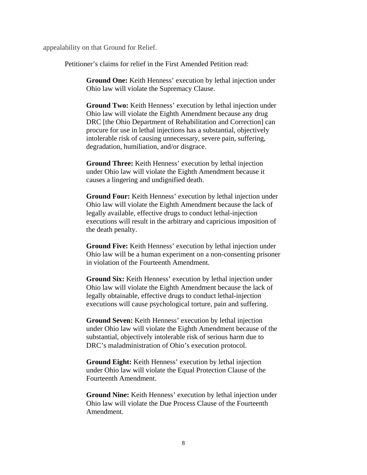appealability on that Ground for Relief.

Petitioner's claims for relief in the First Amended Petition read:

**Ground One:** Keith Henness' execution by lethal injection under Ohio law will violate the Supremacy Clause.

**Ground Two:** Keith Henness' execution by lethal injection under Ohio law will violate the Eighth Amendment because any drug DRC [the Ohio Department of Rehabilitation and Correction] can procure for use in lethal injections has a substantial, objectively intolerable risk of causing unnecessary, severe pain, suffering, degradation, humiliation, and/or disgrace.

**Ground Three:** Keith Henness' execution by lethal injection under Ohio law will violate the Eighth Amendment because it causes a lingering and undignified death.

**Ground Four:** Keith Henness' execution by lethal injection under Ohio law will violate the Eighth Amendment because the lack of legally available, effective drugs to conduct lethal-injection executions will result in the arbitrary and capricious imposition of the death penalty.

**Ground Five:** Keith Henness' execution by lethal injection under Ohio law will be a human experiment on a non-consenting prisoner in violation of the Fourteenth Amendment.

**Ground Six:** Keith Henness' execution by lethal injection under Ohio law will violate the Eighth Amendment because the lack of legally obtainable, effective drugs to conduct lethal-injection executions will cause psychological torture, pain and suffering.

**Ground Seven:** Keith Henness' execution by lethal injection under Ohio law will violate the Eighth Amendment because of the substantial, objectively intolerable risk of serious harm due to DRC's maladministration of Ohio's execution protocol.

**Ground Eight:** Keith Henness' execution by lethal injection under Ohio law will violate the Equal Protection Clause of the Fourteenth Amendment.

**Ground Nine:** Keith Henness' execution by lethal injection under Ohio law will violate the Due Process Clause of the Fourteenth Amendment.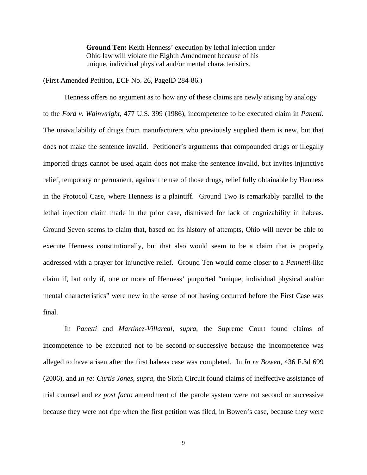**Ground Ten:** Keith Henness' execution by lethal injection under Ohio law will violate the Eighth Amendment because of his unique, individual physical and/or mental characteristics.

(First Amended Petition, ECF No. 26, PageID 284-86.)

Henness offers no argument as to how any of these claims are newly arising by analogy to the *Ford v. Wainwright*, 477 U.S. 399 (1986), incompetence to be executed claim in *Panetti*. The unavailability of drugs from manufacturers who previously supplied them is new, but that does not make the sentence invalid. Petitioner's arguments that compounded drugs or illegally imported drugs cannot be used again does not make the sentence invalid, but invites injunctive relief, temporary or permanent, against the use of those drugs, relief fully obtainable by Henness in the Protocol Case, where Henness is a plaintiff. Ground Two is remarkably parallel to the lethal injection claim made in the prior case, dismissed for lack of cognizability in habeas. Ground Seven seems to claim that, based on its history of attempts, Ohio will never be able to execute Henness constitutionally, but that also would seem to be a claim that is properly addressed with a prayer for injunctive relief. Ground Ten would come closer to a *Pannetti*-like claim if, but only if, one or more of Henness' purported "unique, individual physical and/or mental characteristics" were new in the sense of not having occurred before the First Case was final.

In *Panetti* and *Martinez-Villareal*, *supra*, the Supreme Court found claims of incompetence to be executed not to be second-or-successive because the incompetence was alleged to have arisen after the first habeas case was completed. In *In re Bowen*, 436 F.3d 699 (2006), and *In re: Curtis Jones*, *supra*, the Sixth Circuit found claims of ineffective assistance of trial counsel and *ex post facto* amendment of the parole system were not second or successive because they were not ripe when the first petition was filed, in Bowen's case, because they were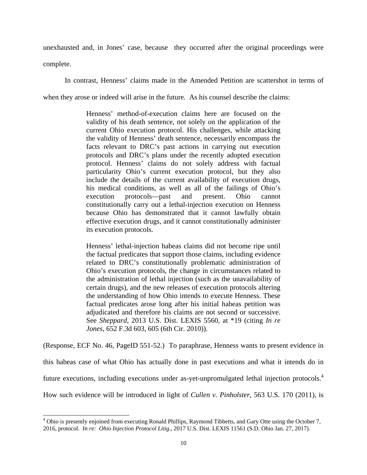unexhausted and, in Jones' case, because they occurred after the original proceedings were complete.

In contrast, Henness' claims made in the Amended Petition are scattershot in terms of when they arose or indeed will arise in the future. As his counsel describe the claims:

> Henness' method-of-execution claims here are focused on the validity of his death sentence, not solely on the application of the current Ohio execution protocol. His challenges, while attacking the validity of Henness' death sentence, necessarily encompass the facts relevant to DRC's past actions in carrying out execution protocols and DRC's plans under the recently adopted execution protocol. Henness' claims do not solely address with factual particularity Ohio's current execution protocol, but they also include the details of the current availability of execution drugs, his medical conditions, as well as all of the failings of Ohio's execution protocols—past and present. Ohio cannot constitutionally carry out a lethal-injection execution on Henness because Ohio has demonstrated that it cannot lawfully obtain effective execution drugs, and it cannot constitutionally administer its execution protocols.

> Henness' lethal-injection habeas claims did not become ripe until the factual predicates that support those claims, including evidence related to DRC's constitutionally problematic administration of Ohio's execution protocols, the change in circumstances related to the administration of lethal injection (such as the unavailability of certain drugs), and the new releases of execution protocols altering the understanding of how Ohio intends to execute Henness. These factual predicates arose long after his initial habeas petition was adjudicated and therefore his claims are not second or successive. See *Sheppard*, 2013 U.S. Dist. LEXIS 5560, at \*19 (citing *In re Jones*, 652 F.3d 603, 605 (6th Cir. 2010)).

(Response, ECF No. 46, PageID 551-52.) To paraphrase, Henness wants to present evidence in this habeas case of what Ohio has actually done in past executions and what it intends do in future executions, including executions under as-yet-unpromulgated lethal injection protocols.<sup>4</sup> How such evidence will be introduced in light of *Cullen v. Pinholster*, 563 U.S. 170 (2011), is

-

<sup>&</sup>lt;sup>4</sup> Ohio is presently enjoined from executing Ronald Phillips, Raymond Tibbetts, and Gary Otte using the October 7, 2016, protocol. *In re: Ohio Injection Protocol Litig.*, 2017 U.S. Dist. LEXIS 11561 (S.D. Ohio Jan. 27, 2017).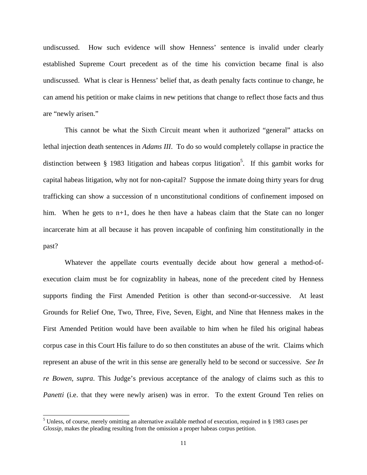undiscussed. How such evidence will show Henness' sentence is invalid under clearly established Supreme Court precedent as of the time his conviction became final is also undiscussed. What is clear is Henness' belief that, as death penalty facts continue to change, he can amend his petition or make claims in new petitions that change to reflect those facts and thus are "newly arisen."

 This cannot be what the Sixth Circuit meant when it authorized "general" attacks on lethal injection death sentences in *Adams III*. To do so would completely collapse in practice the distinction between  $\S$  1983 litigation and habeas corpus litigation<sup>5</sup>. If this gambit works for capital habeas litigation, why not for non-capital? Suppose the inmate doing thirty years for drug trafficking can show a succession of n unconstitutional conditions of confinement imposed on him. When he gets to n+1, does he then have a habeas claim that the State can no longer incarcerate him at all because it has proven incapable of confining him constitutionally in the past?

 Whatever the appellate courts eventually decide about how general a method-ofexecution claim must be for cognizablity in habeas, none of the precedent cited by Henness supports finding the First Amended Petition is other than second-or-successive. At least Grounds for Relief One, Two, Three, Five, Seven, Eight, and Nine that Henness makes in the First Amended Petition would have been available to him when he filed his original habeas corpus case in this Court His failure to do so then constitutes an abuse of the writ. Claims which represent an abuse of the writ in this sense are generally held to be second or successive. *See In re Bowen, supra*. This Judge's previous acceptance of the analogy of claims such as this to *Panetti* (i.e. that they were newly arisen) was in error. To the extent Ground Ten relies on

-

<sup>&</sup>lt;sup>5</sup> Unless, of course, merely omitting an alternative available method of execution, required in § 1983 cases per *Glossip*, makes the pleading resulting from the omission a proper habeas corpus petition.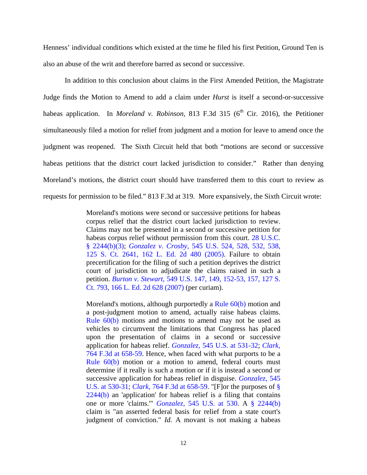Henness' individual conditions which existed at the time he filed his first Petition, Ground Ten is also an abuse of the writ and therefore barred as second or successive.

In addition to this conclusion about claims in the First Amended Petition, the Magistrate Judge finds the Motion to Amend to add a claim under *Hurst* is itself a second-or-successive habeas application. In *Moreland v. Robinson*, 813 F.3d 315 (6<sup>th</sup> Cir. 2016), the Petitioner simultaneously filed a motion for relief from judgment and a motion for leave to amend once the judgment was reopened. The Sixth Circuit held that both "motions are second or successive habeas petitions that the district court lacked jurisdiction to consider." Rather than denying Moreland's motions, the district court should have transferred them to this court to review as requests for permission to be filed." 813 F.3d at 319. More expansively, the Sixth Circuit wrote:

> Moreland's motions were second or successive petitions for habeas corpus relief that the district court lacked jurisdiction to review. Claims may not be presented in a second or successive petition for habeas corpus relief without permission from this court. 28 U.S.C. § 2244(b)(3); *Gonzalez v. Crosby*, 545 U.S. 524, 528, 532, 538, 125 S. Ct. 2641, 162 L. Ed. 2d 480 (2005). Failure to obtain precertification for the filing of such a petition deprives the district court of jurisdiction to adjudicate the claims raised in such a petition. *Burton v. Stewart*, 549 U.S. 147, 149, 152-53, 157, 127 S. Ct. 793, 166 L. Ed. 2d 628 (2007) (per curiam).

> Moreland's motions, although purportedly a Rule 60(b) motion and a post-judgment motion to amend, actually raise habeas claims. Rule 60(b) motions and motions to amend may not be used as vehicles to circumvent the limitations that Congress has placed upon the presentation of claims in a second or successive application for habeas relief. *Gonzalez*, 545 U.S. at 531-32; *Clark*, 764 F.3d at 658-59. Hence, when faced with what purports to be a Rule 60(b) motion or a motion to amend, federal courts must determine if it really is such a motion or if it is instead a second or successive application for habeas relief in disguise. *Gonzalez*, 545 U.S. at 530-31; *Clark*, 764 F.3d at 658-59. "[F]or the purposes of § 2244(b) an 'application' for habeas relief is a filing that contains one or more 'claims.'" *Gonzalez*, 545 U.S. at 530. A § 2244(b) claim is "an asserted federal basis for relief from a state court's judgment of conviction." *Id.* A movant is not making a habeas